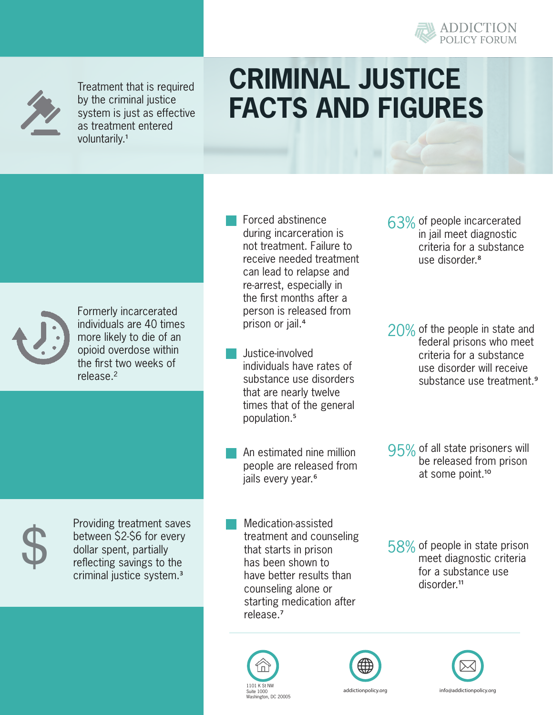



Treatment that is required by the criminal justice system is just as effective as treatment entered voluntarily.<sup>1</sup>

## **CRIMINAL JUSTICE FACTS AND FIGURES**



Formerly incarcerated individuals are 40 times more likely to die of an opioid overdose within the first two weeks of release.²

- Forced abstinence during incarceration is not treatment. Failure to receive needed treatment can lead to relapse and re-arrest, especially in the first months after a person is released from prison or jail.<sup>4</sup>
- Justice-involved individuals have rates of substance use disorders that are nearly twelve times that of the general population.⁵
- An estimated nine million people are released from jails every year.<sup>6</sup>
- Medication-assisted treatment and counseling that starts in prison has been shown to have better results than counseling alone or starting medication after release.<sup>7</sup> Solution S2-56 for every<br>
treatment and counseling<br>
dollar spent, partially<br>
reflecting savings to the<br>
criminal justice system.<sup>3</sup> have better results than
	- Suite 1000 Washington, DC 200 Suite 1000 Washington, DC 20005



- 63% of people incarcerated in jail meet diagnostic criteria for a substance use disorder<sup>8</sup>
- $20\%$  of the people in state and federal prisons who meet criteria for a substance use disorder will receive substance use treatment.<sup>9</sup>
- 95% of all state prisoners will be released from prison at some point.<sup>10</sup>

58% of people in state prison meet diagnostic criteria for a substance use disorder.<sup>11</sup>





Providing treatment saves between \$2-\$6 for every dollar spent, partially reflecting savings to the criminal justice system.³